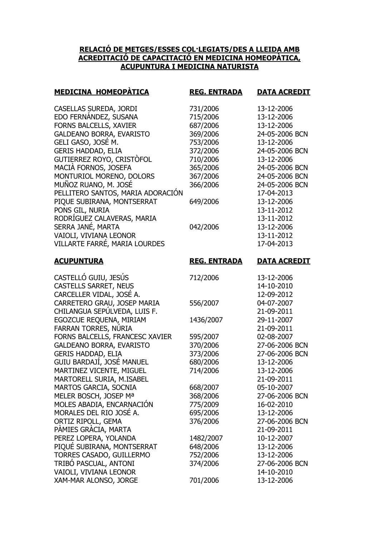## **RELACIÓ DE METGES/ESSES COL·LEGIATS/DES A LLEIDA AMB ACREDITACIÓ DE CAPACITACIÓ EN MEDICINA HOMEOPÀTICA, ACUPUNTURA I MEDICINA NATURISTA**

| <b>MEDICINA HOMEOPATICA</b>                             | <b>REG. ENTRADA</b> | <b>DATA ACREDIT</b>      |
|---------------------------------------------------------|---------------------|--------------------------|
| CASELLAS SUREDA, JORDI                                  | 731/2006            | 13-12-2006               |
| EDO FERNÁNDEZ, SUSANA                                   | 715/2006            | 13-12-2006               |
| FORNS BALCELLS, XAVIER                                  | 687/2006            | 13-12-2006               |
| <b>GALDEANO BORRA, EVARISTO</b>                         | 369/2006            | 24-05-2006 BCN           |
| GELI GASO, JOSÉ M.                                      | 753/2006            | 13-12-2006               |
| <b>GERIS HADDAD, ELIA</b>                               | 372/2006            | 24-05-2006 BCN           |
| GUTIERREZ ROYO, CRISTÒFOL                               | 710/2006            | 13-12-2006               |
| MACIA FORNOS, JOSEFA                                    | 365/2006            | 24-05-2006 BCN           |
| MONTURIOL MORENO, DOLORS                                | 367/2006            | 24-05-2006 BCN           |
| MUÑOZ RUANO, M. JOSÉ                                    | 366/2006            | 24-05-2006 BCN           |
| PELLITERO SANTOS, MARIA ADORACIÓN                       |                     | 17-04-2013               |
| PIQUE SUBIRANA, MONTSERRAT                              | 649/2006            | 13-12-2006               |
| PONS GIL, NURIA                                         |                     | 13-11-2012               |
| RODRÍGUEZ CALAVERAS, MARIA                              |                     | 13-11-2012               |
| SERRA JANÉ, MARTA                                       | 042/2006            | 13-12-2006               |
| VAIOLI, VIVIANA LEONOR<br>VILLARTE FARRÉ, MARIA LOURDES |                     | 13-11-2012               |
|                                                         |                     | 17-04-2013               |
| <b>ACUPUNTURA</b>                                       | <b>REG. ENTRADA</b> | <b>DATA ACREDIT</b>      |
| CASTELLÓ GUIU, JESÚS                                    | 712/2006            | 13-12-2006               |
| <b>CASTELLS SARRET, NEUS</b>                            |                     | 14-10-2010               |
| CARCELLER VIDAL, JOSÉ A.                                |                     | 12-09-2012               |
| CARRETERO GRAU, JOSEP MARIA                             | 556/2007            | 04-07-2007               |
| CHILANGUA SEPÚLVEDA, LUIS F.                            |                     | 21-09-2011               |
| EGOZCUE REQUENA, MIRIAM                                 | 1436/2007           | 29-11-2007               |
| FARRAN TORRES, NÚRIA                                    |                     | 21-09-2011               |
| FORNS BALCELLS, FRANCESC XAVIER                         | 595/2007            | 02-08-2007               |
| <b>GALDEANO BORRA, EVARISTO</b>                         | 370/2006            | 27-06-2006 BCN           |
| <b>GERIS HADDAD, ELIA</b>                               | 373/2006            | 27-06-2006 BCN           |
| GUIU BARDAJÍ, JOSÉ MANUEL                               | 680/2006            | 13-12-2006               |
| MARTINEZ VICENTE, MIGUEL                                | 714/2006            | 13-12-2006               |
| MARTORELL SURIA, M.ISABEL                               |                     | 21-09-2011               |
| MARTOS GARCIA, SOCNIA                                   | 668/2007            |                          |
| MELER BOSCH, JOSEP Ma                                   |                     | 05-10-2007               |
|                                                         | 368/2006            | 27-06-2006 BCN           |
| MOLES ABADIA, ENCARNACIÓN                               | 775/2009            | 16-02-2010               |
| MORALES DEL RIO JOSÉ A.                                 | 695/2006            | 13-12-2006               |
| ORTIZ RIPOLL, GEMA                                      | 376/2006            | 27-06-2006 BCN           |
| PÀMIES GRÀCIA, MARTA                                    |                     | 21-09-2011               |
| PEREZ LOPERA, YOLANDA                                   | 1482/2007           | 10-12-2007               |
| PIQUÉ SUBIRANA, MONTSERRAT                              | 648/2006            | 13-12-2006               |
| TORRES CASADO, GUILLERMO                                | 752/2006            | 13-12-2006               |
| TRIBÓ PASCUAL, ANTONI                                   | 374/2006            | 27-06-2006 BCN           |
| VAIOLI, VIVIANA LEONOR<br>XAM-MAR ALONSO, JORGE         | 701/2006            | 14-10-2010<br>13-12-2006 |